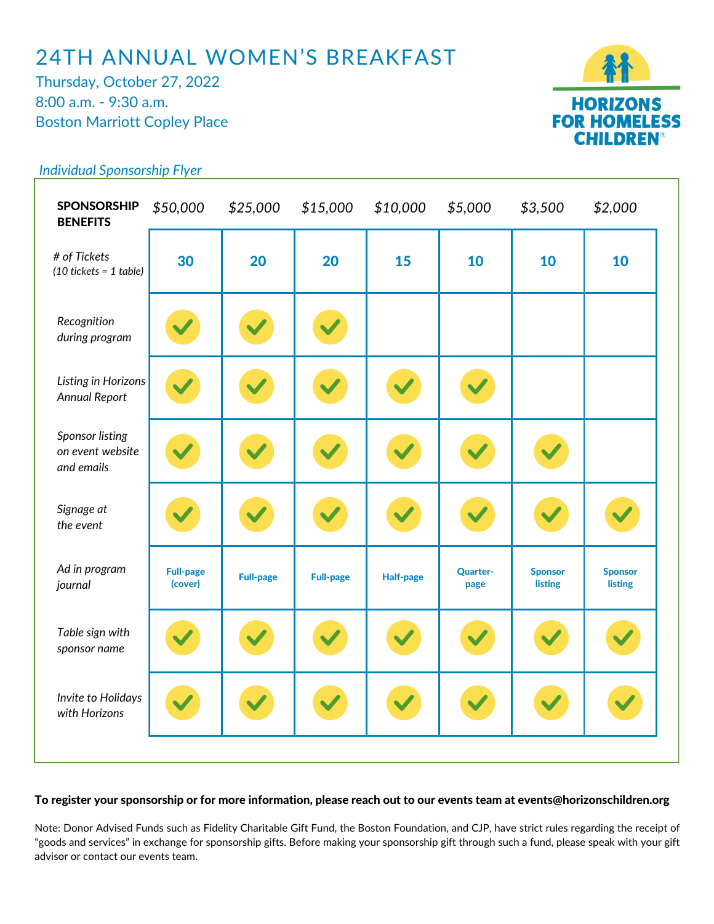## 24TH ANNUAL WOMEN'S BREAKFAST

Thursday, October 27, 2022 8:00 a.m. - 9:30 a.m. Boston Marriott Copley Place



## *Individual Sponsorship Flyer*

| <b>SPONSORSHIP</b><br><b>BENEFITS</b>                    | \$50,000                    | \$25,000         | \$15,000         | \$10,000         | \$5,000                 | \$3,500                   | \$2,000                          |
|----------------------------------------------------------|-----------------------------|------------------|------------------|------------------|-------------------------|---------------------------|----------------------------------|
| # of Tickets<br>$(10$ tickets = 1 table)                 | 30                          | 20               | 20               | 15               | 10                      | 10                        | 10                               |
| Recognition<br>during program                            |                             |                  |                  |                  |                         |                           |                                  |
| Listing in Horizons<br><b>Annual Report</b>              |                             |                  |                  |                  |                         |                           |                                  |
| <b>Sponsor listing</b><br>on event website<br>and emails |                             |                  |                  |                  |                         |                           |                                  |
| Signage at<br>the event                                  |                             |                  |                  |                  |                         |                           |                                  |
| Ad in program<br>journal                                 | <b>Full-page</b><br>(cover) | <b>Full-page</b> | <b>Full-page</b> | <b>Half-page</b> | <b>Quarter-</b><br>page | <b>Sponsor</b><br>listing | <b>Sponsor</b><br><b>listing</b> |
| Table sign with<br>sponsor name                          |                             |                  |                  |                  |                         |                           |                                  |
| Invite to Holidays<br>with Horizons                      |                             |                  |                  |                  |                         |                           |                                  |
|                                                          |                             |                  |                  |                  |                         |                           |                                  |

## To register your sponsorship or for more information, please reach out to our events team at events@horizonschildren.org

Note: Donor Advised Funds such as Fidelity Charitable Gift Fund, the Boston Foundation, and CJP, have strict rules regarding the receipt of "goods and services" in exchange for sponsorship gifts. Before making your sponsorship gift through such a fund, please speak with your gift advisor or contact our events team.